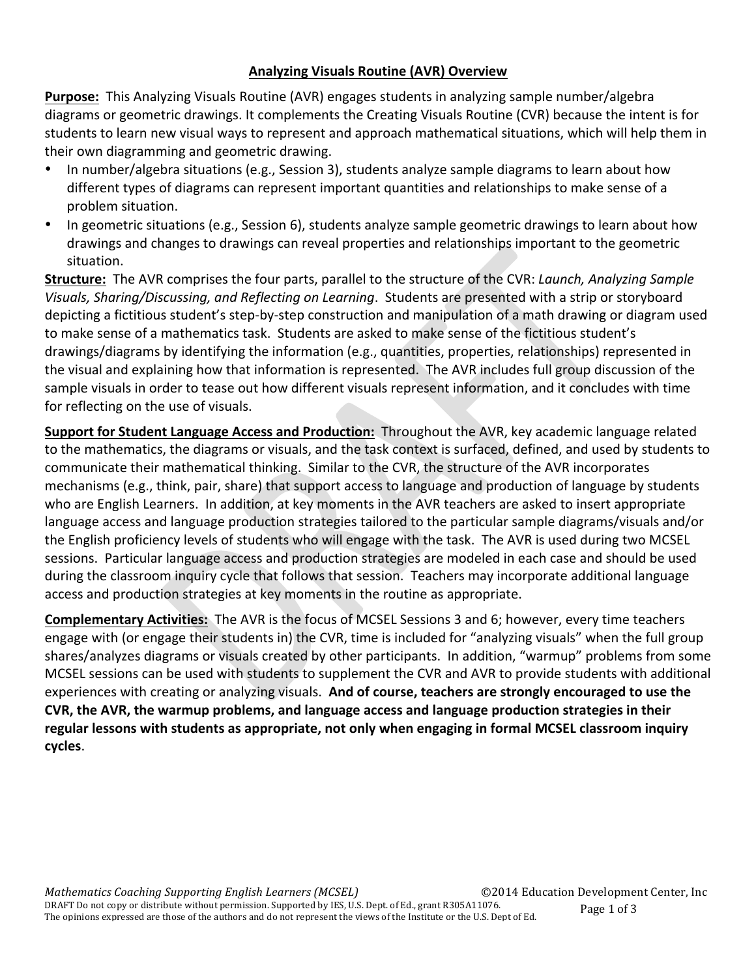#### **Analyzing Visuals Routine (AVR) Overview**

**Purpose:** This Analyzing Visuals Routine (AVR) engages students in analyzing sample number/algebra diagrams or geometric drawings. It complements the Creating Visuals Routine (CVR) because the intent is for students to learn new visual ways to represent and approach mathematical situations, which will help them in their own diagramming and geometric drawing.

- In number/algebra situations (e.g., Session 3), students analyze sample diagrams to learn about how different types of diagrams can represent important quantities and relationships to make sense of a problem situation.
- In geometric situations (e.g., Session 6), students analyze sample geometric drawings to learn about how drawings and changes to drawings can reveal properties and relationships important to the geometric situation.

**Structure:** The AVR comprises the four parts, parallel to the structure of the CVR: *Launch, Analyzing Sample* Visuals, Sharing/Discussing, and Reflecting on Learning. Students are presented with a strip or storyboard depicting a fictitious student's step-by-step construction and manipulation of a math drawing or diagram used to make sense of a mathematics task. Students are asked to make sense of the fictitious student's drawings/diagrams by identifying the information (e.g., quantities, properties, relationships) represented in the visual and explaining how that information is represented. The AVR includes full group discussion of the sample visuals in order to tease out how different visuals represent information, and it concludes with time for reflecting on the use of visuals.

**Support for Student Language Access and Production:** Throughout the AVR, key academic language related to the mathematics, the diagrams or visuals, and the task context is surfaced, defined, and used by students to communicate their mathematical thinking. Similar to the CVR, the structure of the AVR incorporates mechanisms (e.g., think, pair, share) that support access to language and production of language by students who are English Learners. In addition, at key moments in the AVR teachers are asked to insert appropriate language access and language production strategies tailored to the particular sample diagrams/visuals and/or the English proficiency levels of students who will engage with the task. The AVR is used during two MCSEL sessions. Particular language access and production strategies are modeled in each case and should be used during the classroom inquiry cycle that follows that session. Teachers may incorporate additional language access and production strategies at key moments in the routine as appropriate.

**Complementary Activities:** The AVR is the focus of MCSEL Sessions 3 and 6; however, every time teachers engage with (or engage their students in) the CVR, time is included for "analyzing visuals" when the full group shares/analyzes diagrams or visuals created by other participants. In addition, "warmup" problems from some MCSEL sessions can be used with students to supplement the CVR and AVR to provide students with additional experiences with creating or analyzing visuals. And of course, teachers are strongly encouraged to use the CVR, the AVR, the warmup problems, and language access and language production strategies in their regular lessons with students as appropriate, not only when engaging in formal MCSEL classroom inquiry **cycles**.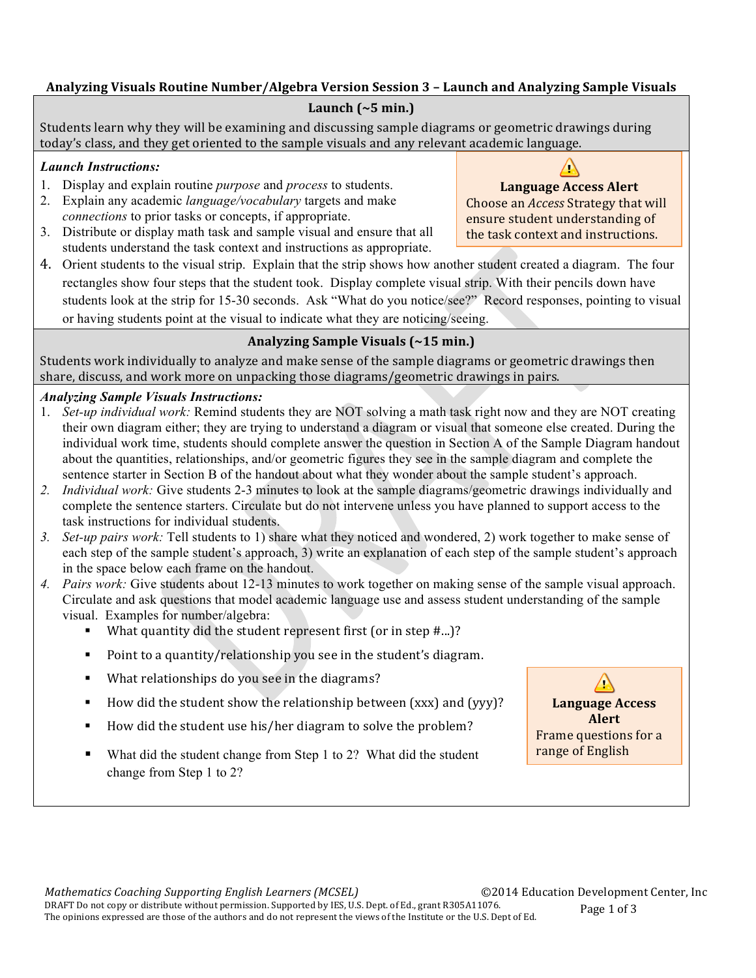#### Analyzing Visuals Routine Number/Algebra Version Session 3 - Launch and Analyzing Sample Visuals

#### Launch  $(-5 \text{ min.})$

Students learn why they will be examining and discussing sample diagrams or geometric drawings during today's class, and they get oriented to the sample visuals and any relevant academic language.

#### *Launch Instructions:*

- 1. Display and explain routine *purpose* and *process* to students.
- 2. Explain any academic *language/vocabulary* targets and make *connections* to prior tasks or concepts, if appropriate.
- 3. Distribute or display math task and sample visual and ensure that all students understand the task context and instructions as appropriate.
- 4. Orient students to the visual strip. Explain that the strip shows how another student created a diagram. The four rectangles show four steps that the student took. Display complete visual strip. With their pencils down have students look at the strip for 15-30 seconds. Ask "What do you notice/see?" Record responses, pointing to visual or having students point at the visual to indicate what they are noticing/seeing.

### **Analyzing Sample Visuals (~15 min.)**

Students work individually to analyze and make sense of the sample diagrams or geometric drawings then share, discuss, and work more on unpacking those diagrams/geometric drawings in pairs.

### *Analyzing Sample Visuals Instructions:*

- 1. *Set-up individual work:* Remind students they are NOT solving a math task right now and they are NOT creating their own diagram either; they are trying to understand a diagram or visual that someone else created. During the individual work time, students should complete answer the question in Section A of the Sample Diagram handout about the quantities, relationships, and/or geometric figures they see in the sample diagram and complete the sentence starter in Section B of the handout about what they wonder about the sample student's approach.
- *2. Individual work:* Give students 2-3 minutes to look at the sample diagrams/geometric drawings individually and complete the sentence starters. Circulate but do not intervene unless you have planned to support access to the task instructions for individual students.
- *3. Set-up pairs work:* Tell students to 1) share what they noticed and wondered, 2) work together to make sense of each step of the sample student's approach, 3) write an explanation of each step of the sample student's approach in the space below each frame on the handout.
- *4. Pairs work:* Give students about 12-13 minutes to work together on making sense of the sample visual approach. Circulate and ask questions that model academic language use and assess student understanding of the sample visual. Examples for number/algebra:
	- What quantity did the student represent first (or in step  $#...$ )?
	- Point to a quantity/relationship you see in the student's diagram.
	- What relationships do you see in the diagrams?
	- External How did the student show the relationship between (xxx) and (yyy)?
	- How did the student use his/her diagram to solve the problem?
	- What did the student change from Step 1 to 2? What did the student change from Step 1 to 2?



 $\sqrt{}$ **Language Access Alert**

Choose an *Access* Strategy that will ensure student understanding of the task context and instructions.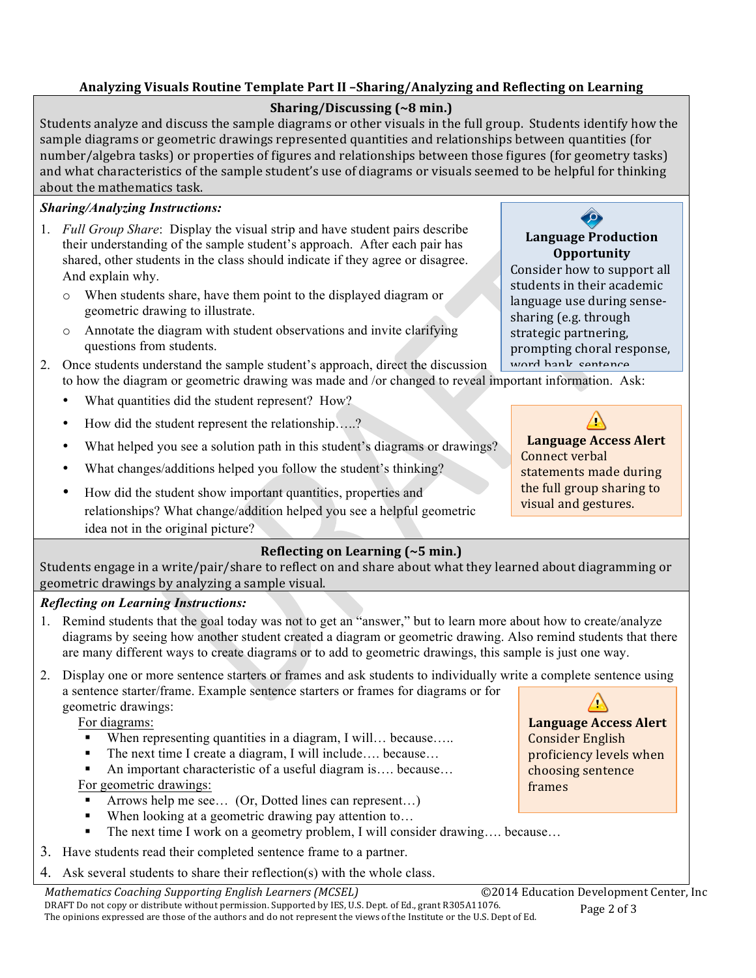#### **Analyzing Visuals Routine Template Part II –Sharing/Analyzing and Reflecting on Learning**

### **Sharing/Discussing (~8 min.)**

Students analyze and discuss the sample diagrams or other visuals in the full group. Students identify how the sample diagrams or geometric drawings represented quantities and relationships between quantities (for number/algebra tasks) or properties of figures and relationships between those figures (for geometry tasks) and what characteristics of the sample student's use of diagrams or visuals seemed to be helpful for thinking about the mathematics task.

#### *Sharing/Analyzing Instructions:*

- 1. *Full Group Share*: Display the visual strip and have student pairs describe their understanding of the sample student's approach. After each pair has shared, other students in the class should indicate if they agree or disagree. And explain why.
	- o When students share, have them point to the displayed diagram or geometric drawing to illustrate.
	- o Annotate the diagram with student observations and invite clarifying questions from students.
- to how the diagram or geometric drawing was made and /or changed to reveal important information. Ask: 2. Once students understand the sample student's approach, direct the discussion
	- What quantities did the student represent? How?
	- How did the student represent the relationship…..?
	- What helped you see a solution path in this student's diagrams or drawings?
	- What changes/additions helped you follow the student's thinking?
	- How did the student show important quantities, properties and relationships? What change/addition helped you see a helpful geometric idea not in the original picture?

#### **Reflecting on Learning (~5 min.)**

Students engage in a write/pair/share to reflect on and share about what they learned about diagramming or geometric drawings by analyzing a sample visual.

#### *Reflecting on Learning Instructions:*

- 1. Remind students that the goal today was not to get an "answer," but to learn more about how to create/analyze diagrams by seeing how another student created a diagram or geometric drawing. Also remind students that there are many different ways to create diagrams or to add to geometric drawings, this sample is just one way.
- 2. Display one or more sentence starters or frames and ask students to individually write a complete sentence using a sentence starter/frame. Example sentence starters or frames for diagrams or for geometric drawings:

For diagrams:

- When representing quantities in a diagram, I will... because.....
- The next time I create a diagram, I will include…. because…
- An important characteristic of a useful diagram is.... because...

#### For geometric drawings:

- Arrows help me see... (Or, Dotted lines can represent...)
- When looking at a geometric drawing pay attention to...
- The next time I work on a geometry problem, I will consider drawing.... because...
- 3. Have students read their completed sentence frame to a partner.
- 4. Ask several students to share their reflection(s) with the whole class.

*Mathematics Coaching Supporting English Learners (MCSEL)* ©2014 Education Development Center, Inc DRAFT Do not copy or distribute without permission. Supported by IES, U.S. Dept. of Ed., grant R305A11076. Page 2 of 3 The opinions expressed are those of the authors and do not represent the views of the Institute or the U.S. Dept of Ed.



Consider how to support all students in their academic language use during sensesharing (e.g. through strategic partnering, prompting choral response. word hank, sentence

**Language Access Alert** Connect verbal statements made during the full group sharing to visual and gestures.

Δ

**Language Access Alert** Consider English proficiency levels when choosing sentence frames

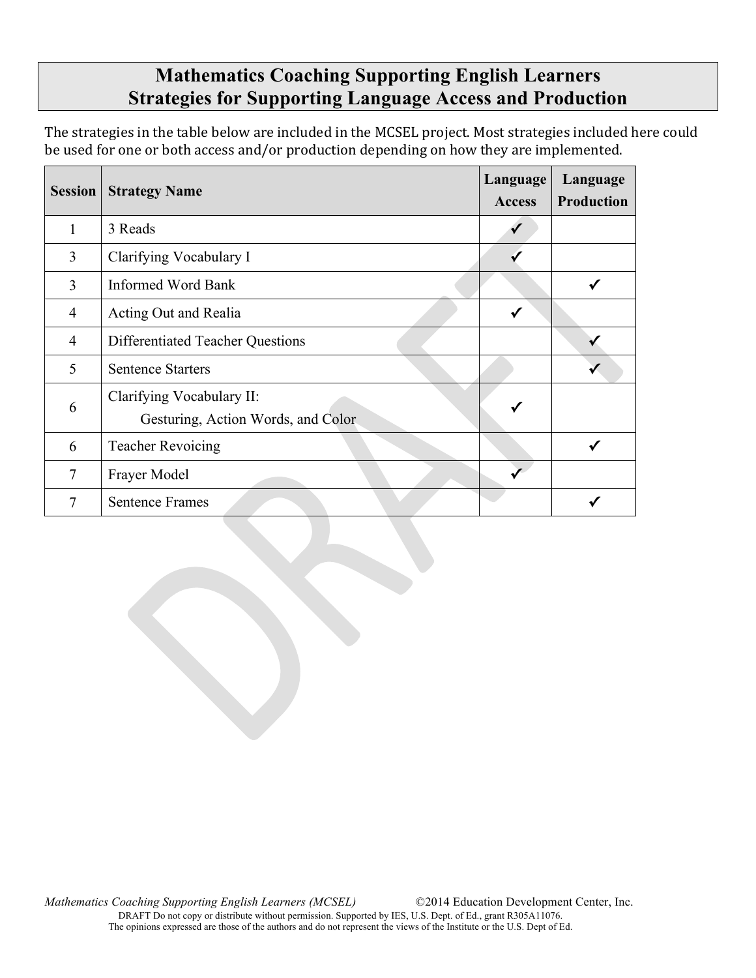### **Mathematics Coaching Supporting English Learners Strategies for Supporting Language Access and Production**

The strategies in the table below are included in the MCSEL project. Most strategies included here could be used for one or both access and/or production depending on how they are implemented.

| <b>Session</b> | <b>Strategy Name</b>                                            | Language<br><b>Access</b> | Language<br><b>Production</b> |
|----------------|-----------------------------------------------------------------|---------------------------|-------------------------------|
|                | 3 Reads                                                         |                           |                               |
| 3              | Clarifying Vocabulary I                                         |                           |                               |
| 3              | <b>Informed Word Bank</b>                                       |                           |                               |
| 4              | Acting Out and Realia                                           | ✓                         |                               |
| $\overline{4}$ | <b>Differentiated Teacher Questions</b>                         |                           |                               |
| 5              | <b>Sentence Starters</b>                                        |                           |                               |
| 6              | Clarifying Vocabulary II:<br>Gesturing, Action Words, and Color |                           |                               |
| 6              | <b>Teacher Revoicing</b>                                        |                           |                               |
| 7              | Frayer Model                                                    |                           |                               |
| 7              | <b>Sentence Frames</b>                                          |                           |                               |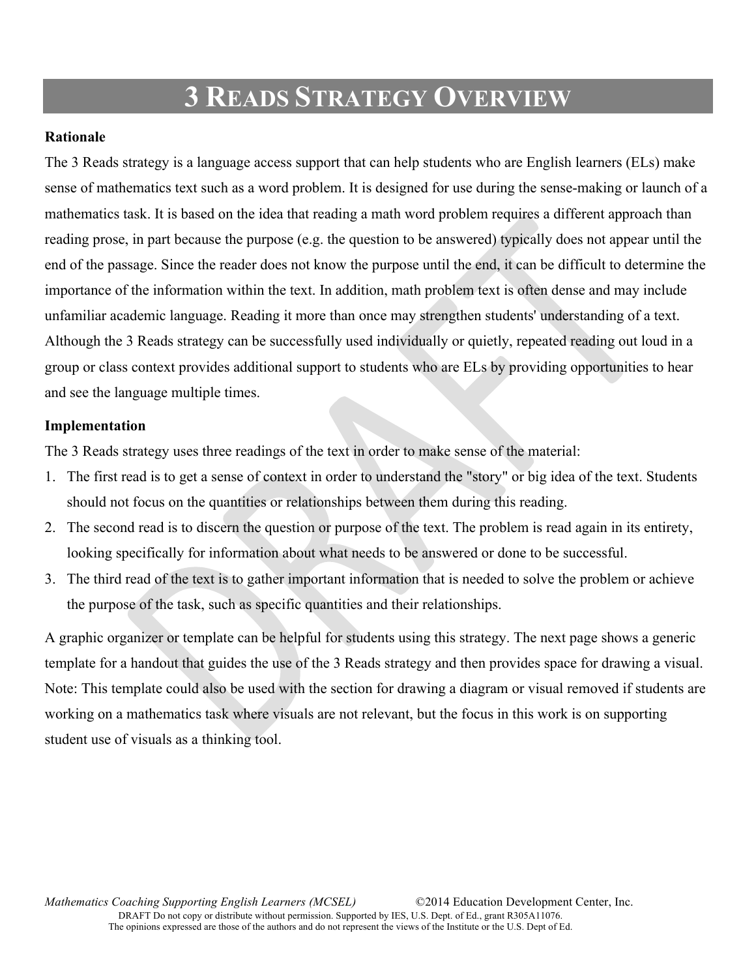### **3 READS STRATEGY OVERVIEW**

#### **Rationale**

The 3 Reads strategy is a language access support that can help students who are English learners (ELs) make sense of mathematics text such as a word problem. It is designed for use during the sense-making or launch of a mathematics task. It is based on the idea that reading a math word problem requires a different approach than reading prose, in part because the purpose (e.g. the question to be answered) typically does not appear until the end of the passage. Since the reader does not know the purpose until the end, it can be difficult to determine the importance of the information within the text. In addition, math problem text is often dense and may include unfamiliar academic language. Reading it more than once may strengthen students' understanding of a text. Although the 3 Reads strategy can be successfully used individually or quietly, repeated reading out loud in a group or class context provides additional support to students who are ELs by providing opportunities to hear and see the language multiple times.

#### **Implementation**

The 3 Reads strategy uses three readings of the text in order to make sense of the material:

- 1. The first read is to get a sense of context in order to understand the "story" or big idea of the text. Students should not focus on the quantities or relationships between them during this reading.
- 2. The second read is to discern the question or purpose of the text. The problem is read again in its entirety, looking specifically for information about what needs to be answered or done to be successful.
- 3. The third read of the text is to gather important information that is needed to solve the problem or achieve the purpose of the task, such as specific quantities and their relationships.

A graphic organizer or template can be helpful for students using this strategy. The next page shows a generic template for a handout that guides the use of the 3 Reads strategy and then provides space for drawing a visual. Note: This template could also be used with the section for drawing a diagram or visual removed if students are working on a mathematics task where visuals are not relevant, but the focus in this work is on supporting student use of visuals as a thinking tool.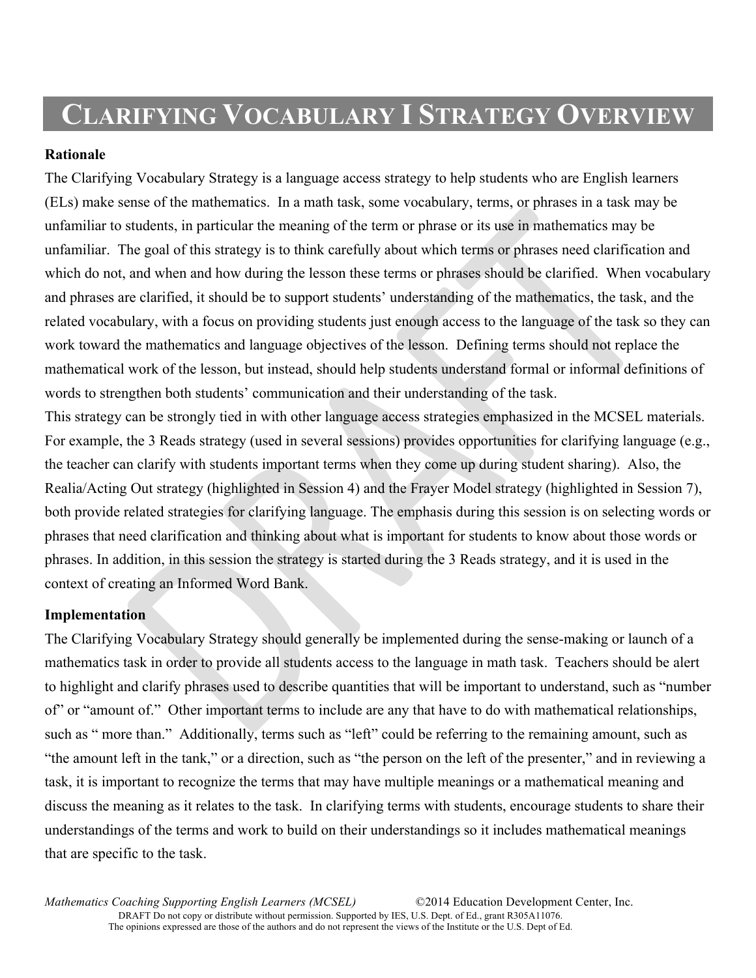### **CLARIFYING VOCABULARY I STRATEGY OVERVIEW**

#### **Rationale**

The Clarifying Vocabulary Strategy is a language access strategy to help students who are English learners (ELs) make sense of the mathematics. In a math task, some vocabulary, terms, or phrases in a task may be unfamiliar to students, in particular the meaning of the term or phrase or its use in mathematics may be unfamiliar. The goal of this strategy is to think carefully about which terms or phrases need clarification and which do not, and when and how during the lesson these terms or phrases should be clarified. When vocabulary and phrases are clarified, it should be to support students' understanding of the mathematics, the task, and the related vocabulary, with a focus on providing students just enough access to the language of the task so they can work toward the mathematics and language objectives of the lesson. Defining terms should not replace the mathematical work of the lesson, but instead, should help students understand formal or informal definitions of words to strengthen both students' communication and their understanding of the task.

This strategy can be strongly tied in with other language access strategies emphasized in the MCSEL materials. For example, the 3 Reads strategy (used in several sessions) provides opportunities for clarifying language (e.g., the teacher can clarify with students important terms when they come up during student sharing). Also, the Realia/Acting Out strategy (highlighted in Session 4) and the Frayer Model strategy (highlighted in Session 7), both provide related strategies for clarifying language. The emphasis during this session is on selecting words or phrases that need clarification and thinking about what is important for students to know about those words or phrases. In addition, in this session the strategy is started during the 3 Reads strategy, and it is used in the context of creating an Informed Word Bank.

#### **Implementation**

The Clarifying Vocabulary Strategy should generally be implemented during the sense-making or launch of a mathematics task in order to provide all students access to the language in math task. Teachers should be alert to highlight and clarify phrases used to describe quantities that will be important to understand, such as "number of" or "amount of." Other important terms to include are any that have to do with mathematical relationships, such as " more than." Additionally, terms such as "left" could be referring to the remaining amount, such as "the amount left in the tank," or a direction, such as "the person on the left of the presenter," and in reviewing a task, it is important to recognize the terms that may have multiple meanings or a mathematical meaning and discuss the meaning as it relates to the task. In clarifying terms with students, encourage students to share their understandings of the terms and work to build on their understandings so it includes mathematical meanings that are specific to the task.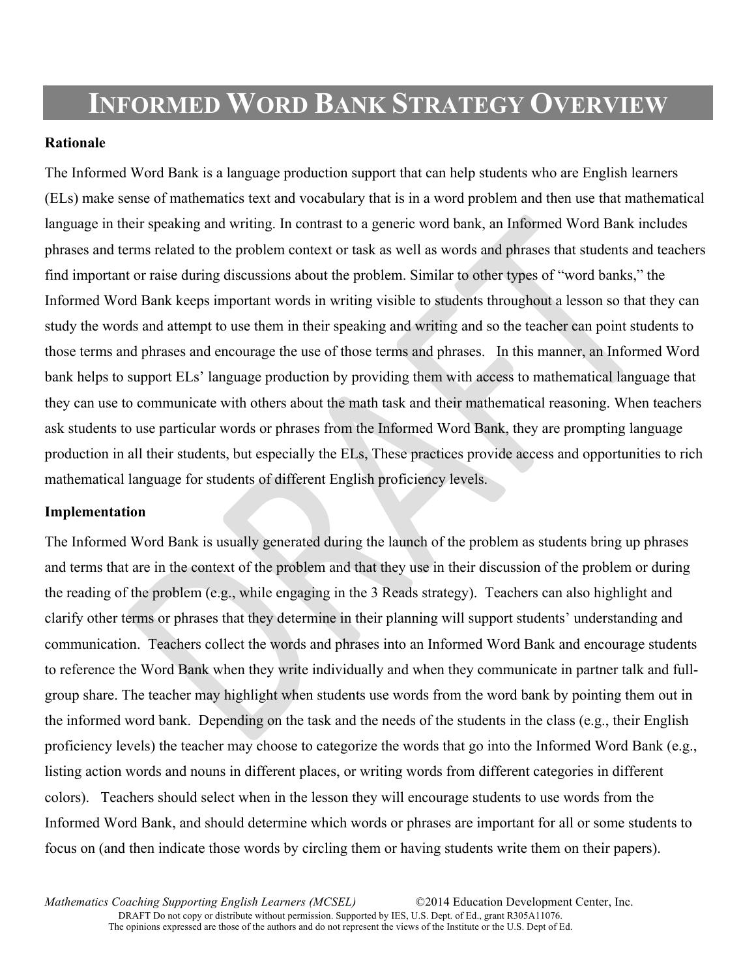## **INFORMED WORD BANK STRATEGY OVERVIEW**

#### **Rationale**

The Informed Word Bank is a language production support that can help students who are English learners (ELs) make sense of mathematics text and vocabulary that is in a word problem and then use that mathematical language in their speaking and writing. In contrast to a generic word bank, an Informed Word Bank includes phrases and terms related to the problem context or task as well as words and phrases that students and teachers find important or raise during discussions about the problem. Similar to other types of "word banks," the Informed Word Bank keeps important words in writing visible to students throughout a lesson so that they can study the words and attempt to use them in their speaking and writing and so the teacher can point students to those terms and phrases and encourage the use of those terms and phrases. In this manner, an Informed Word bank helps to support ELs' language production by providing them with access to mathematical language that they can use to communicate with others about the math task and their mathematical reasoning. When teachers ask students to use particular words or phrases from the Informed Word Bank, they are prompting language production in all their students, but especially the ELs, These practices provide access and opportunities to rich mathematical language for students of different English proficiency levels.

#### **Implementation**

The Informed Word Bank is usually generated during the launch of the problem as students bring up phrases and terms that are in the context of the problem and that they use in their discussion of the problem or during the reading of the problem (e.g., while engaging in the 3 Reads strategy). Teachers can also highlight and clarify other terms or phrases that they determine in their planning will support students' understanding and communication. Teachers collect the words and phrases into an Informed Word Bank and encourage students to reference the Word Bank when they write individually and when they communicate in partner talk and fullgroup share. The teacher may highlight when students use words from the word bank by pointing them out in the informed word bank. Depending on the task and the needs of the students in the class (e.g., their English proficiency levels) the teacher may choose to categorize the words that go into the Informed Word Bank (e.g., listing action words and nouns in different places, or writing words from different categories in different colors). Teachers should select when in the lesson they will encourage students to use words from the Informed Word Bank, and should determine which words or phrases are important for all or some students to focus on (and then indicate those words by circling them or having students write them on their papers).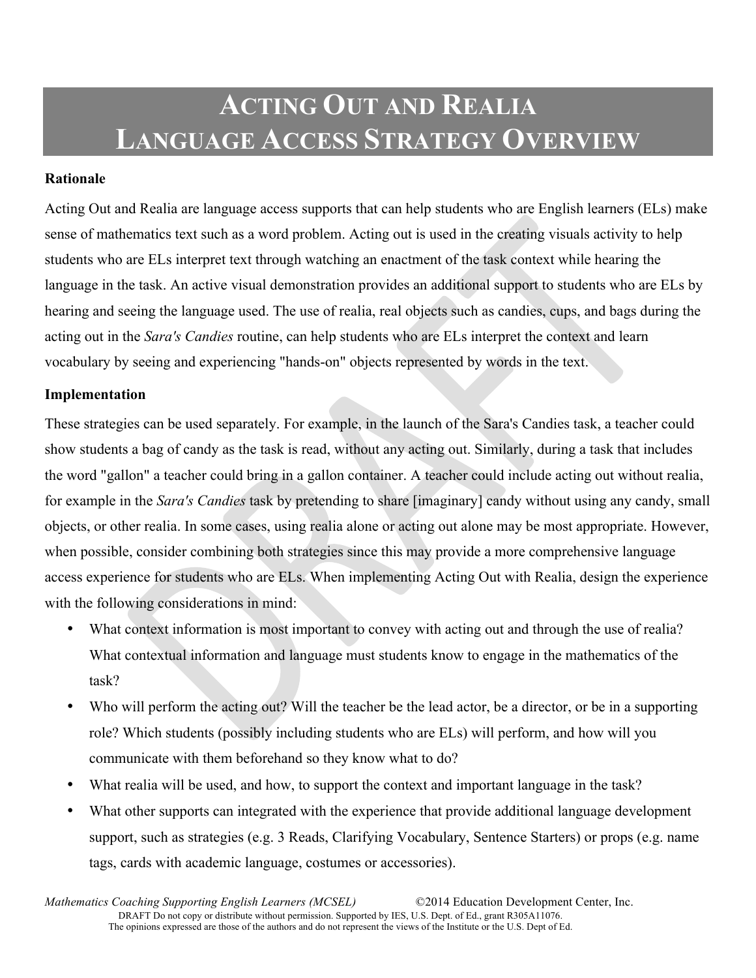# **ACTING OUT AND REALIA LANGUAGE ACCESS STRATEGY OVERVIEW**

#### **Rationale**

Acting Out and Realia are language access supports that can help students who are English learners (ELs) make sense of mathematics text such as a word problem. Acting out is used in the creating visuals activity to help students who are ELs interpret text through watching an enactment of the task context while hearing the language in the task. An active visual demonstration provides an additional support to students who are ELs by hearing and seeing the language used. The use of realia, real objects such as candies, cups, and bags during the acting out in the *Sara's Candies* routine, can help students who are ELs interpret the context and learn vocabulary by seeing and experiencing "hands-on" objects represented by words in the text.

#### **Implementation**

These strategies can be used separately. For example, in the launch of the Sara's Candies task, a teacher could show students a bag of candy as the task is read, without any acting out. Similarly, during a task that includes the word "gallon" a teacher could bring in a gallon container. A teacher could include acting out without realia, for example in the *Sara's Candies* task by pretending to share [imaginary] candy without using any candy, small objects, or other realia. In some cases, using realia alone or acting out alone may be most appropriate. However, when possible, consider combining both strategies since this may provide a more comprehensive language access experience for students who are ELs. When implementing Acting Out with Realia, design the experience with the following considerations in mind:

- What context information is most important to convey with acting out and through the use of realia? What contextual information and language must students know to engage in the mathematics of the task?
- Who will perform the acting out? Will the teacher be the lead actor, be a director, or be in a supporting role? Which students (possibly including students who are ELs) will perform, and how will you communicate with them beforehand so they know what to do?
- What realia will be used, and how, to support the context and important language in the task?
- What other supports can integrated with the experience that provide additional language development support, such as strategies (e.g. 3 Reads, Clarifying Vocabulary, Sentence Starters) or props (e.g. name tags, cards with academic language, costumes or accessories).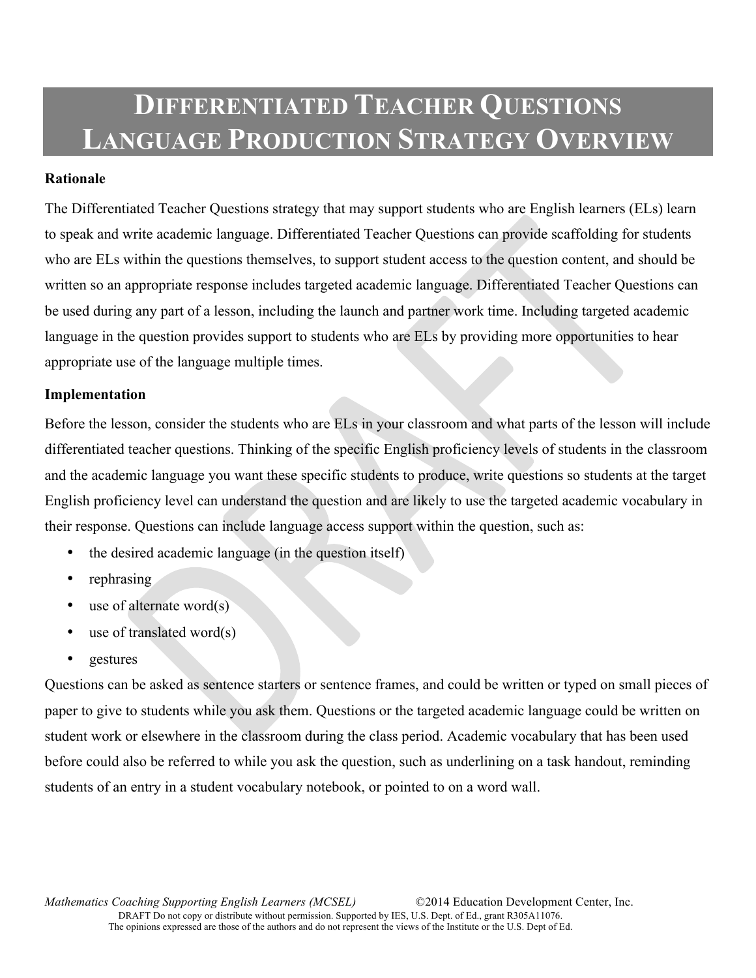# **DIFFERENTIATED TEACHER QUESTIONS LANGUAGE PRODUCTION STRATEGY OVERVIEW**

#### **Rationale**

The Differentiated Teacher Questions strategy that may support students who are English learners (ELs) learn to speak and write academic language. Differentiated Teacher Questions can provide scaffolding for students who are ELs within the questions themselves, to support student access to the question content, and should be written so an appropriate response includes targeted academic language. Differentiated Teacher Questions can be used during any part of a lesson, including the launch and partner work time. Including targeted academic language in the question provides support to students who are ELs by providing more opportunities to hear appropriate use of the language multiple times.

#### **Implementation**

Before the lesson, consider the students who are ELs in your classroom and what parts of the lesson will include differentiated teacher questions. Thinking of the specific English proficiency levels of students in the classroom and the academic language you want these specific students to produce, write questions so students at the target English proficiency level can understand the question and are likely to use the targeted academic vocabulary in their response. Questions can include language access support within the question, such as:

- the desired academic language (in the question itself)
- rephrasing
- use of alternate word $(s)$
- use of translated word $(s)$
- gestures

Questions can be asked as sentence starters or sentence frames, and could be written or typed on small pieces of paper to give to students while you ask them. Questions or the targeted academic language could be written on student work or elsewhere in the classroom during the class period. Academic vocabulary that has been used before could also be referred to while you ask the question, such as underlining on a task handout, reminding students of an entry in a student vocabulary notebook, or pointed to on a word wall.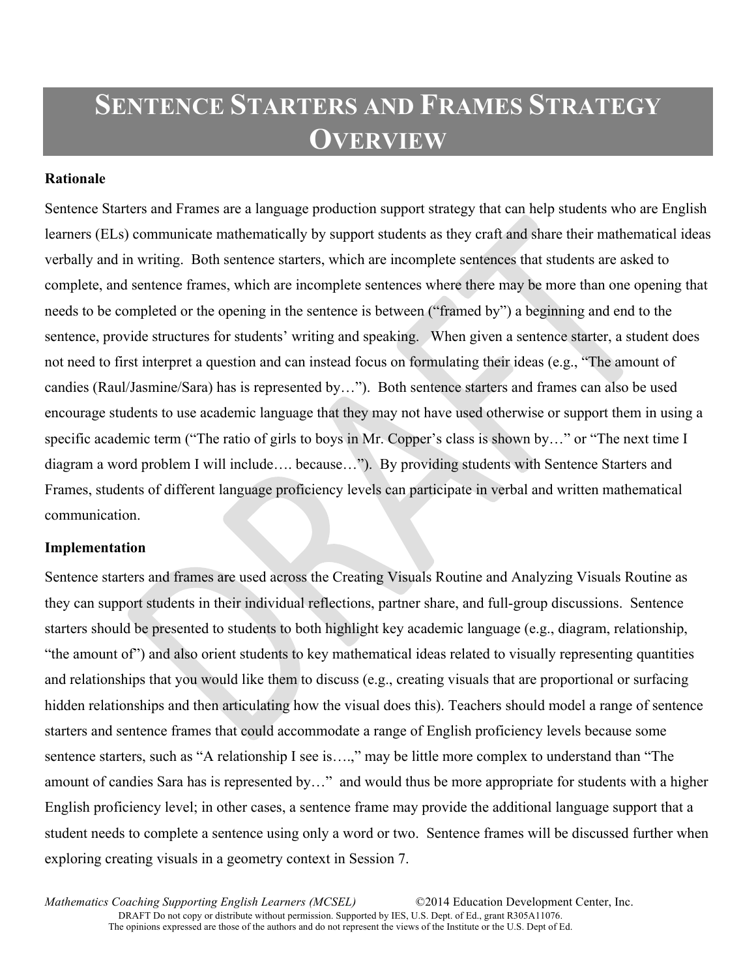# **SENTENCE STARTERS AND FRAMES STRATEGY OVERVIEW**

#### **Rationale**

Sentence Starters and Frames are a language production support strategy that can help students who are English learners (ELs) communicate mathematically by support students as they craft and share their mathematical ideas verbally and in writing. Both sentence starters, which are incomplete sentences that students are asked to complete, and sentence frames, which are incomplete sentences where there may be more than one opening that needs to be completed or the opening in the sentence is between ("framed by") a beginning and end to the sentence, provide structures for students' writing and speaking. When given a sentence starter, a student does not need to first interpret a question and can instead focus on formulating their ideas (e.g., "The amount of candies (Raul/Jasmine/Sara) has is represented by…"). Both sentence starters and frames can also be used encourage students to use academic language that they may not have used otherwise or support them in using a specific academic term ("The ratio of girls to boys in Mr. Copper's class is shown by..." or "The next time I diagram a word problem I will include…. because…"). By providing students with Sentence Starters and Frames, students of different language proficiency levels can participate in verbal and written mathematical communication.

#### **Implementation**

Sentence starters and frames are used across the Creating Visuals Routine and Analyzing Visuals Routine as they can support students in their individual reflections, partner share, and full-group discussions. Sentence starters should be presented to students to both highlight key academic language (e.g., diagram, relationship, "the amount of") and also orient students to key mathematical ideas related to visually representing quantities and relationships that you would like them to discuss (e.g., creating visuals that are proportional or surfacing hidden relationships and then articulating how the visual does this). Teachers should model a range of sentence starters and sentence frames that could accommodate a range of English proficiency levels because some sentence starters, such as "A relationship I see is….," may be little more complex to understand than "The amount of candies Sara has is represented by…" and would thus be more appropriate for students with a higher English proficiency level; in other cases, a sentence frame may provide the additional language support that a student needs to complete a sentence using only a word or two. Sentence frames will be discussed further when exploring creating visuals in a geometry context in Session 7.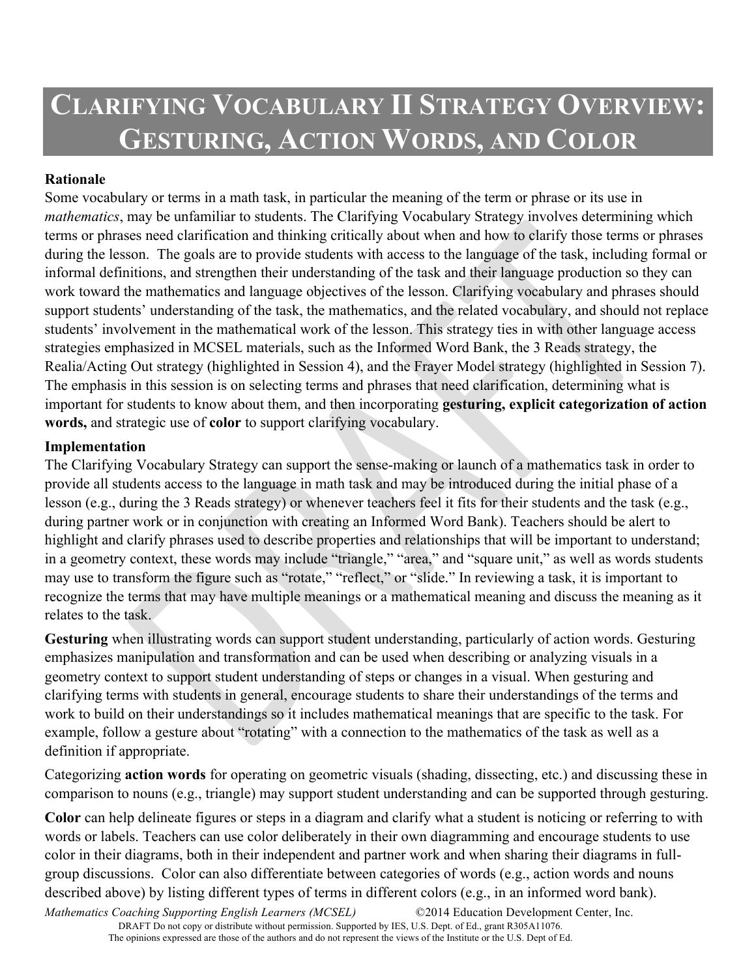# **CLARIFYING VOCABULARY II STRATEGY OVERVIEW: GESTURING, ACTION WORDS, AND COLOR**

### **Rationale**

Some vocabulary or terms in a math task, in particular the meaning of the term or phrase or its use in *mathematics*, may be unfamiliar to students. The Clarifying Vocabulary Strategy involves determining which terms or phrases need clarification and thinking critically about when and how to clarify those terms or phrases during the lesson. The goals are to provide students with access to the language of the task, including formal or informal definitions, and strengthen their understanding of the task and their language production so they can work toward the mathematics and language objectives of the lesson. Clarifying vocabulary and phrases should support students' understanding of the task, the mathematics, and the related vocabulary, and should not replace students' involvement in the mathematical work of the lesson. This strategy ties in with other language access strategies emphasized in MCSEL materials, such as the Informed Word Bank, the 3 Reads strategy, the Realia/Acting Out strategy (highlighted in Session 4), and the Frayer Model strategy (highlighted in Session 7). The emphasis in this session is on selecting terms and phrases that need clarification, determining what is important for students to know about them, and then incorporating **gesturing, explicit categorization of action words,** and strategic use of **color** to support clarifying vocabulary.

### **Implementation**

The Clarifying Vocabulary Strategy can support the sense-making or launch of a mathematics task in order to provide all students access to the language in math task and may be introduced during the initial phase of a lesson (e.g., during the 3 Reads strategy) or whenever teachers feel it fits for their students and the task (e.g., during partner work or in conjunction with creating an Informed Word Bank). Teachers should be alert to highlight and clarify phrases used to describe properties and relationships that will be important to understand; in a geometry context, these words may include "triangle," "area," and "square unit," as well as words students may use to transform the figure such as "rotate," "reflect," or "slide." In reviewing a task, it is important to recognize the terms that may have multiple meanings or a mathematical meaning and discuss the meaning as it relates to the task.

**Gesturing** when illustrating words can support student understanding, particularly of action words. Gesturing emphasizes manipulation and transformation and can be used when describing or analyzing visuals in a geometry context to support student understanding of steps or changes in a visual. When gesturing and clarifying terms with students in general, encourage students to share their understandings of the terms and work to build on their understandings so it includes mathematical meanings that are specific to the task. For example, follow a gesture about "rotating" with a connection to the mathematics of the task as well as a definition if appropriate.

Categorizing **action words** for operating on geometric visuals (shading, dissecting, etc.) and discussing these in comparison to nouns (e.g., triangle) may support student understanding and can be supported through gesturing.

**Color** can help delineate figures or steps in a diagram and clarify what a student is noticing or referring to with words or labels. Teachers can use color deliberately in their own diagramming and encourage students to use color in their diagrams, both in their independent and partner work and when sharing their diagrams in fullgroup discussions. Color can also differentiate between categories of words (e.g., action words and nouns described above) by listing different types of terms in different colors (e.g., in an informed word bank).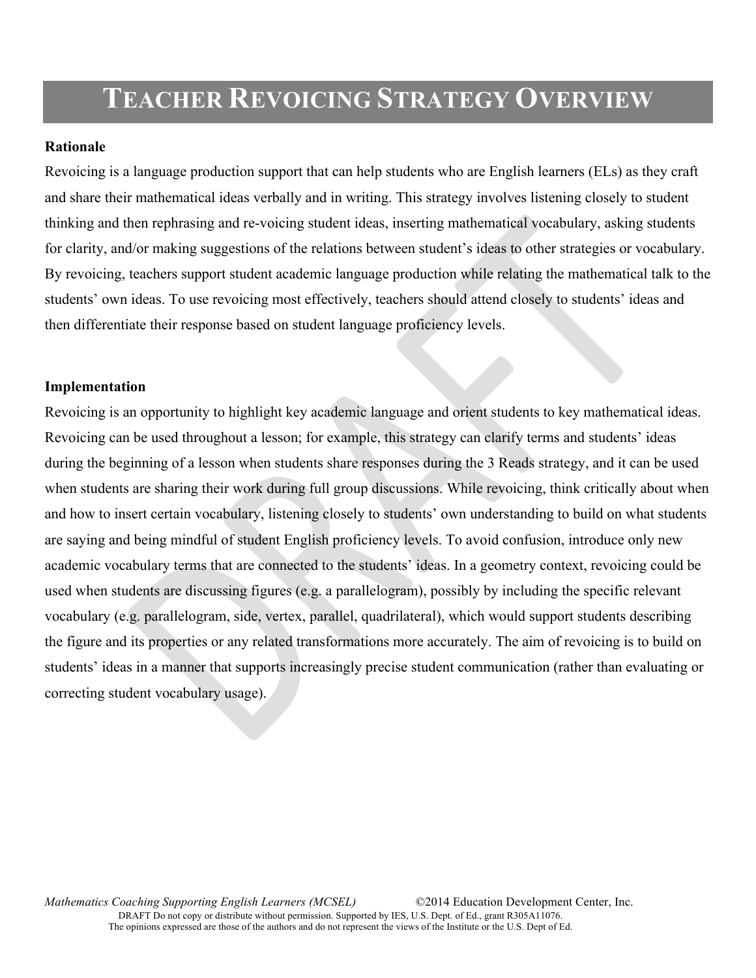# **TEACHER REVOICING STRATEGY OVERVIEW**

#### **Rationale**

Revoicing is a language production support that can help students who are English learners (ELs) as they craft and share their mathematical ideas verbally and in writing. This strategy involves listening closely to student thinking and then rephrasing and re-voicing student ideas, inserting mathematical vocabulary, asking students for clarity, and/or making suggestions of the relations between student's ideas to other strategies or vocabulary. By revoicing, teachers support student academic language production while relating the mathematical talk to the students' own ideas. To use revoicing most effectively, teachers should attend closely to students' ideas and then differentiate their response based on student language proficiency levels.

#### **Implementation**

Revoicing is an opportunity to highlight key academic language and orient students to key mathematical ideas. Revoicing can be used throughout a lesson; for example, this strategy can clarify terms and students' ideas during the beginning of a lesson when students share responses during the 3 Reads strategy, and it can be used when students are sharing their work during full group discussions. While revoicing, think critically about when and how to insert certain vocabulary, listening closely to students' own understanding to build on what students are saying and being mindful of student English proficiency levels. To avoid confusion, introduce only new academic vocabulary terms that are connected to the students' ideas. In a geometry context, revoicing could be used when students are discussing figures (e.g. a parallelogram), possibly by including the specific relevant vocabulary (e.g. parallelogram, side, vertex, parallel, quadrilateral), which would support students describing the figure and its properties or any related transformations more accurately. The aim of revoicing is to build on students' ideas in a manner that supports increasingly precise student communication (rather than evaluating or correcting student vocabulary usage).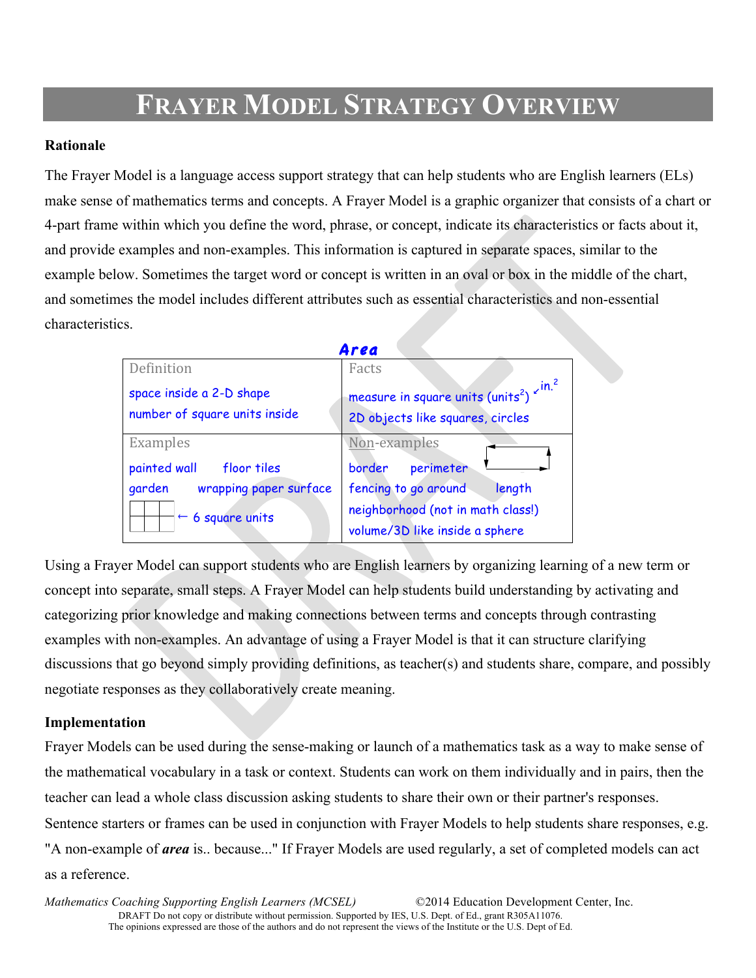# **FRAYER MODEL STRATEGY OVERVIEW**

### **Rationale**

The Frayer Model is a language access support strategy that can help students who are English learners (ELs) make sense of mathematics terms and concepts. A Frayer Model is a graphic organizer that consists of a chart or 4-part frame within which you define the word, phrase, or concept, indicate its characteristics or facts about it, and provide examples and non-examples. This information is captured in separate spaces, similar to the example below. Sometimes the target word or concept is written in an oval or box in the middle of the chart, and sometimes the model includes different attributes such as essential characteristics and non-essential characteristics.

| Area                                                      |                                                                                                            |  |  |  |
|-----------------------------------------------------------|------------------------------------------------------------------------------------------------------------|--|--|--|
| Definition                                                | Facts                                                                                                      |  |  |  |
| space inside a 2-D shape<br>number of square units inside | measure in square units (units <sup>2</sup> ) $\times$ <sup>in.2</sup><br>2D objects like squares, circles |  |  |  |
| Examples                                                  | Non-examples                                                                                               |  |  |  |
| painted wall<br>floor tiles                               | border<br>perimeter                                                                                        |  |  |  |
| wrapping paper surface<br>garden                          | fencing to go around<br>length                                                                             |  |  |  |
| $\leftarrow$ 6 square units                               | neighborhood (not in math class!)<br>volume/3D like inside a sphere                                        |  |  |  |

Using a Frayer Model can support students who are English learners by organizing learning of a new term or concept into separate, small steps. A Frayer Model can help students build understanding by activating and categorizing prior knowledge and making connections between terms and concepts through contrasting examples with non-examples. An advantage of using a Frayer Model is that it can structure clarifying discussions that go beyond simply providing definitions, as teacher(s) and students share, compare, and possibly negotiate responses as they collaboratively create meaning.

### **Implementation**

Frayer Models can be used during the sense-making or launch of a mathematics task as a way to make sense of the mathematical vocabulary in a task or context. Students can work on them individually and in pairs, then the teacher can lead a whole class discussion asking students to share their own or their partner's responses. Sentence starters or frames can be used in conjunction with Frayer Models to help students share responses, e.g. "A non-example of *area* is.. because..." If Frayer Models are used regularly, a set of completed models can act as a reference.